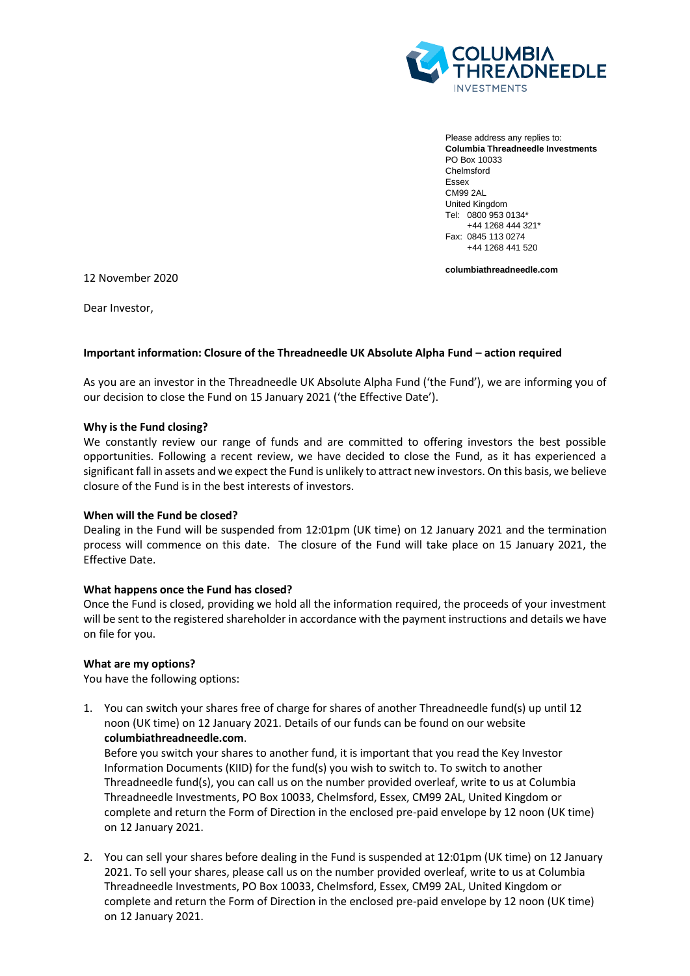

Please address any replies to: **Columbia Threadneedle Investments** PO Box 10033 Chelmsford Essex CM99 2AL United Kingdom Tel: 0800 953 0134\* +44 1268 444 321\* Fax: 0845 113 0274 +44 1268 441 520

**columbiathreadneedle.com**

12 November 2020

Dear Investor,

# **Important information: Closure of the Threadneedle UK Absolute Alpha Fund – action required**

As you are an investor in the Threadneedle UK Absolute Alpha Fund ('the Fund'), we are informing you of our decision to close the Fund on 15 January 2021 ('the Effective Date').

## **Why is the Fund closing?**

We constantly review our range of funds and are committed to offering investors the best possible opportunities. Following a recent review, we have decided to close the Fund, as it has experienced a significant fall in assets and we expect the Fund is unlikely to attract new investors. On this basis, we believe closure of the Fund is in the best interests of investors.

## **When will the Fund be closed?**

Dealing in the Fund will be suspended from 12:01pm (UK time) on 12 January 2021 and the termination process will commence on this date. The closure of the Fund will take place on 15 January 2021, the Effective Date.

## **What happens once the Fund has closed?**

Once the Fund is closed, providing we hold all the information required, the proceeds of your investment will be sent to the registered shareholder in accordance with the payment instructions and details we have on file for you.

#### **What are my options?**

You have the following options:

1. You can switch your shares free of charge for shares of another Threadneedle fund(s) up until 12 noon (UK time) on 12 January 2021. Details of our funds can be found on our website **columbiathreadneedle.com**.

Before you switch your shares to another fund, it is important that you read the Key Investor Information Documents (KIID) for the fund(s) you wish to switch to. To switch to another Threadneedle fund(s), you can call us on the number provided overleaf, write to us at Columbia Threadneedle Investments, PO Box 10033, Chelmsford, Essex, CM99 2AL, United Kingdom or complete and return the Form of Direction in the enclosed pre-paid envelope by 12 noon (UK time) on 12 January 2021.

2. You can sell your shares before dealing in the Fund is suspended at 12:01pm (UK time) on 12 January 2021. To sell your shares, please call us on the number provided overleaf, write to us at Columbia Threadneedle Investments, PO Box 10033, Chelmsford, Essex, CM99 2AL, United Kingdom or complete and return the Form of Direction in the enclosed pre-paid envelope by 12 noon (UK time) on 12 January 2021.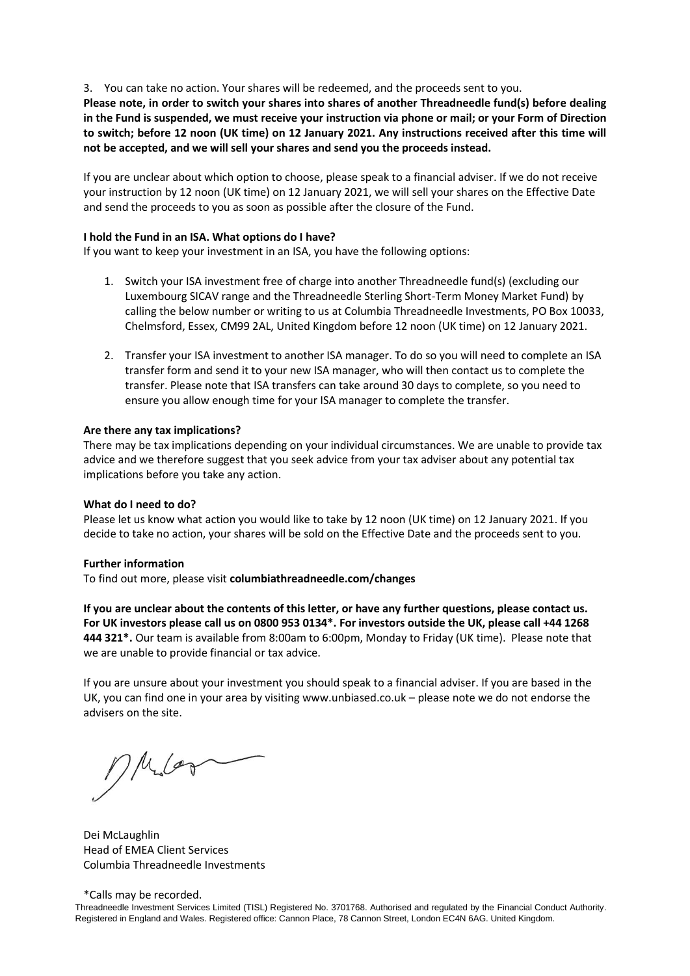## 3. You can take no action. Your shares will be redeemed, and the proceeds sent to you.

**Please note, in order to switch your shares into shares of another Threadneedle fund(s) before dealing in the Fund is suspended, we must receive your instruction via phone or mail; or your Form of Direction to switch; before 12 noon (UK time) on 12 January 2021. Any instructions received after this time will not be accepted, and we will sell your shares and send you the proceeds instead.**

If you are unclear about which option to choose, please speak to a financial adviser. If we do not receive your instruction by 12 noon (UK time) on 12 January 2021, we will sell your shares on the Effective Date and send the proceeds to you as soon as possible after the closure of the Fund.

### **I hold the Fund in an ISA. What options do I have?**

If you want to keep your investment in an ISA, you have the following options:

- 1. Switch your ISA investment free of charge into another Threadneedle fund(s) (excluding our Luxembourg SICAV range and the Threadneedle Sterling Short-Term Money Market Fund) by calling the below number or writing to us at Columbia Threadneedle Investments, PO Box 10033, Chelmsford, Essex, CM99 2AL, United Kingdom before 12 noon (UK time) on 12 January 2021.
- 2. Transfer your ISA investment to another ISA manager. To do so you will need to complete an ISA transfer form and send it to your new ISA manager, who will then contact us to complete the transfer. Please note that ISA transfers can take around 30 days to complete, so you need to ensure you allow enough time for your ISA manager to complete the transfer.

#### **Are there any tax implications?**

There may be tax implications depending on your individual circumstances. We are unable to provide tax advice and we therefore suggest that you seek advice from your tax adviser about any potential tax implications before you take any action.

#### **What do I need to do?**

Please let us know what action you would like to take by 12 noon (UK time) on 12 January 2021. If you decide to take no action, your shares will be sold on the Effective Date and the proceeds sent to you.

#### **Further information**

To find out more, please visit **columbiathreadneedle.com/changes** 

**If you are unclear about the contents of this letter, or have any further questions, please contact us. For UK investors please call us on 0800 953 0134\*. For investors outside the UK, please call +44 1268 444 321\*.** Our team is available from 8:00am to 6:00pm, Monday to Friday (UK time). Please note that we are unable to provide financial or tax advice.

If you are unsure about your investment you should speak to a financial adviser. If you are based in the UK, you can find one in your area by visiting www.unbiased.co.uk – please note we do not endorse the advisers on the site.

 $M_{\rm L}$ 

Dei McLaughlin Head of EMEA Client Services Columbia Threadneedle Investments

\*Calls may be recorded.

Threadneedle Investment Services Limited (TISL) Registered No. 3701768. Authorised and regulated by the Financial Conduct Authority. Registered in England and Wales. Registered office: Cannon Place, 78 Cannon Street, London EC4N 6AG. United Kingdom.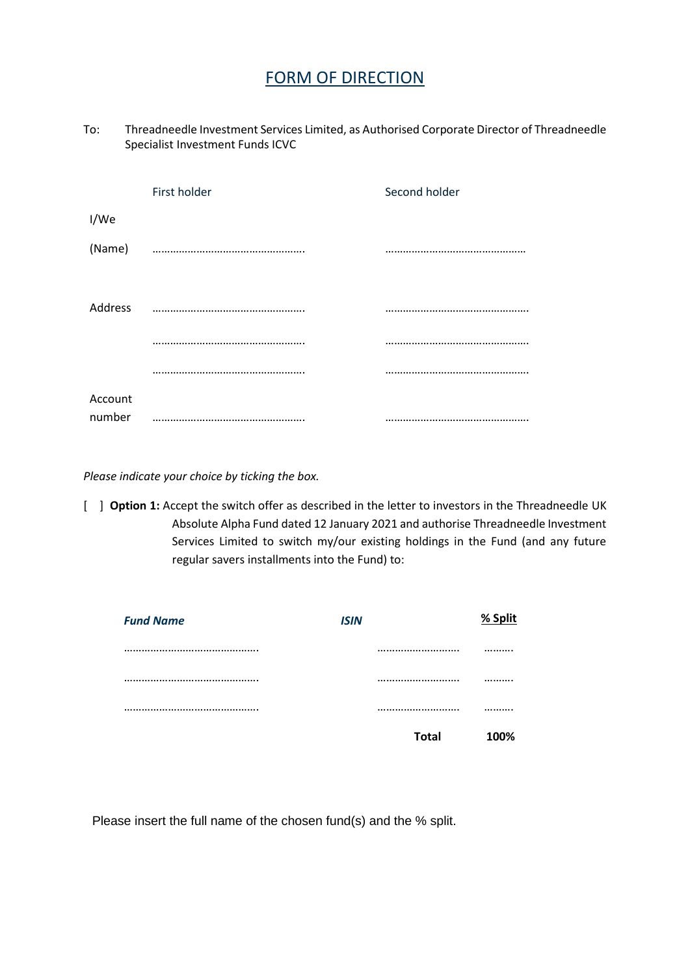# FORM OF DIRECTION

To: Threadneedle Investment Services Limited, as Authorised Corporate Director of Threadneedle Specialist Investment Funds ICVC

|         | First holder | Second holder |
|---------|--------------|---------------|
| I/We    |              |               |
| (Name)  |              |               |
| Address |              |               |
|         |              |               |
|         |              |               |
| Account |              |               |
| number  |              |               |

*Please indicate your choice by ticking the box.*

[  $\Box$  **Option 1:** Accept the switch offer as described in the letter to investors in the Threadneedle UK Absolute Alpha Fund dated 12 January 2021 and authorise Threadneedle Investment Services Limited to switch my/our existing holdings in the Fund (and any future regular savers installments into the Fund) to:

| <b>ISIN</b>  | % Split  |
|--------------|----------|
|              |          |
|              |          |
|              |          |
| <b>Total</b> | 100%     |
|              | <br><br> |

Please insert the full name of the chosen fund(s) and the % split.